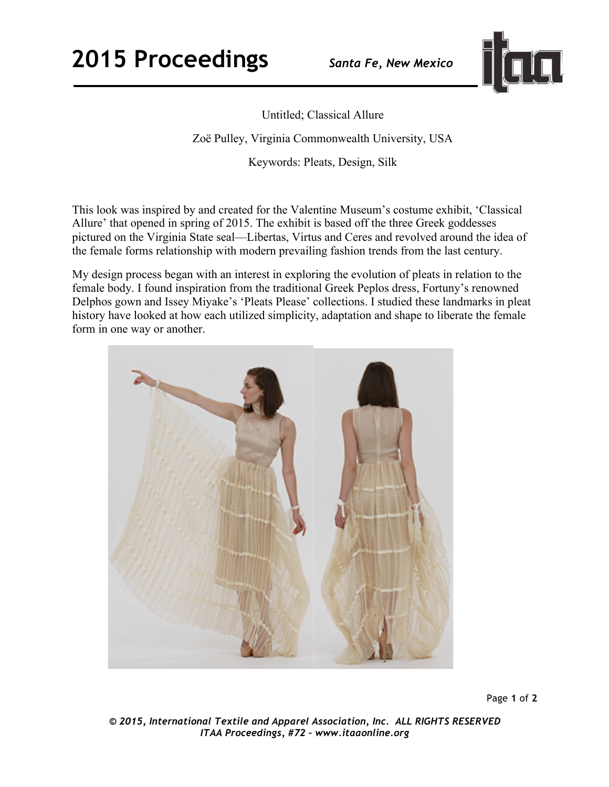

Untitled; Classical Allure Zoë Pulley, Virginia Commonwealth University, USA Keywords: Pleats, Design, Silk

This look was inspired by and created for the Valentine Museum's costume exhibit, 'Classical Allure' that opened in spring of 2015. The exhibit is based off the three Greek goddesses pictured on the Virginia State seal—Libertas, Virtus and Ceres and revolved around the idea of the female forms relationship with modern prevailing fashion trends from the last century.

My design process began with an interest in exploring the evolution of pleats in relation to the female body. I found inspiration from the traditional Greek Peplos dress, Fortuny's renowned Delphos gown and Issey Miyake's 'Pleats Please' collections. I studied these landmarks in pleat history have looked at how each utilized simplicity, adaptation and shape to liberate the female form in one way or another.



Page **1** of **2** 

*© 2015, International Textile and Apparel Association, Inc. ALL RIGHTS RESERVED ITAA Proceedings, #72 – www.itaaonline.org*